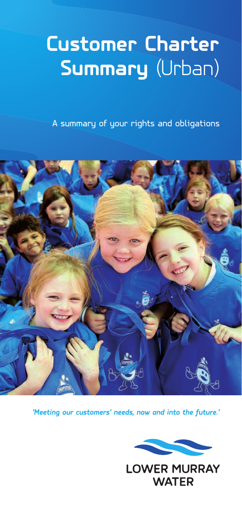## **Customer Charter Summary** (Urban)

A summary of your rights and obligations



*'Meeting our customers' needs, now and into the future.'*



**LOWER MURRAY WATER**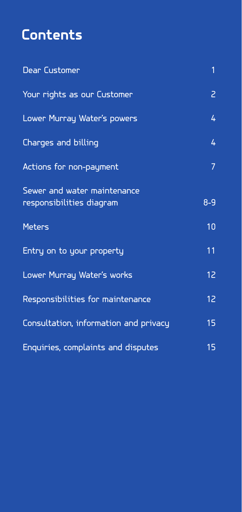## **Contents**

| <b>Dear Customer</b>                                    | $\overline{1}$ |  |
|---------------------------------------------------------|----------------|--|
| Your rights as our Customer                             | Z              |  |
| Lower Murray Water's powers                             | 4              |  |
| Charges and billing                                     | 4              |  |
| Actions for non-payment                                 | $\overline{7}$ |  |
| Sewer and water maintenance<br>responsibilities diagram | $8 - 9$        |  |
| <b>Meters</b>                                           | 10             |  |
| Entry on to your property                               | 11             |  |
| Lower Murray Water's works                              | 12             |  |
| Responsibilities for maintenance                        | 12             |  |
| Consultation, information and privacy                   | 15             |  |
| Enquiries, complaints and disputes                      | 15             |  |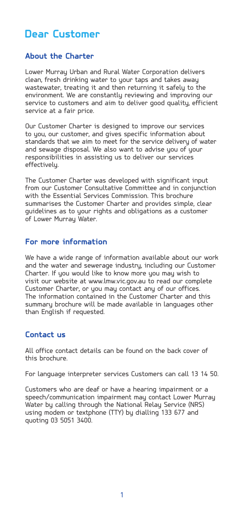## **Dear Customer**

#### **About the Charter**

Lower Murray Urban and Rural Water Corporation delivers clean, fresh drinking water to your taps and takes away wastewater, treating it and then returning it safely to the environment. We are constantly reviewing and improving our service to customers and aim to deliver good quality, efficient service at a fair price.

Our Customer Charter is designed to improve our services to you, our customer, and gives specific information about standards that we aim to meet for the service delivery of water and sewage disposal. We also want to advise you of your responsibilities in assisting us to deliver our services effectively.

The Customer Charter was developed with significant input from our Customer Consultative Committee and in conjunction with the Essential Services Commission. This brochure summarises the Customer Charter and provides simple, clear guidelines as to your rights and obligations as a customer of Lower Murray Water.

#### **For more information**

We have a wide range of information available about our work and the water and sewerage industry, including our Customer Charter. If you would like to know more you may wish to visit our website at www.lmw.vic.gov.au to read our complete Customer Charter, or you may contact any of our offices. The information contained in the Customer Charter and this summary brochure will be made available in languages other than English if requested.

#### **Contact us**

All office contact details can be found on the back cover of this brochure.

For language interpreter services Customers can call 13 14 50.

Customers who are deaf or have a hearing impairment or a speech/communication impairment may contact Lower Murray Water by calling through the National Relay Service (NRS) using modem or textphone (TTY) by dialling 133 677 and quoting 03 5051 3400.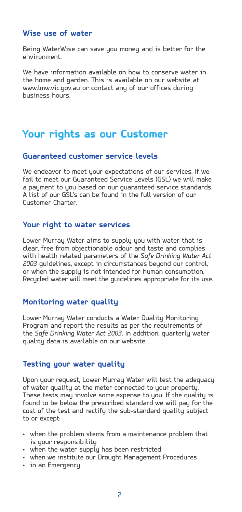#### **Wise use of water**

Being WaterWise can save you money and is better for the environment.

We have information available on how to conserve water in the home and garden. This is available on our website at www.lmw.vic.gov.au or contact any of our offices during business hours.

## **Your rights as our Customer**

#### **Guaranteed customer service levels**

We endeavor to meet your expectations of our services. If we fail to meet our Guaranteed Service Levels (GSL) we will make a payment to you based on our guaranteed service standards. A list of our GSL's can be found in the full version of our Customer Charter.

#### **Your right to water services**

Lower Murray Water aims to supply you with water that is clear, free from objectionable odour and taste and complies with health related parameters of the *Safe Drinking Water Act 2003* guidelines, except in circumstances beyond our control, or when the supply is not intended for human consumption. Recycled water will meet the guidelines appropriate for its use.

#### **Monitoring water quality**

Lower Murray Water conducts a Water Quality Monitoring Program and report the results as per the requirements of the *Safe Drinking Water Act 2003*. In addition, quarterly water quality data is available on our website.

#### **Testing your water quality**

Upon your request, Lower Murray Water will test the adequacy of water quality at the meter connected to your property. These tests may involve some expense to you. If the quality is found to be below the prescribed standard we will pay for the cost of the test and rectify the sub-standard quality subject to or except:

- • when the problem stems from a maintenance problem that is your responsibility
- when the water supply has been restricted
- • when we institute our Drought Management Procedures
- • in an Emergency.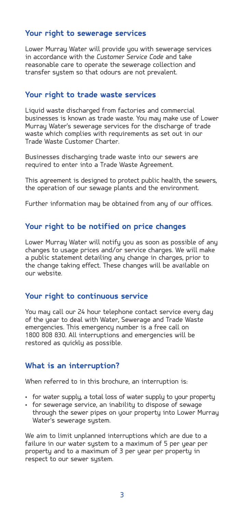#### **Your right to sewerage services**

Lower Murray Water will provide you with sewerage services in accordance with the *Customer Service Code* and take reasonable care to operate the sewerage collection and transfer system so that odours are not prevalent.

#### **Your right to trade waste services**

Liquid waste discharged from factories and commercial businesses is known as trade waste. You may make use of Lower Murray Water's sewerage services for the discharge of trade waste which complies with requirements as set out in our Trade Waste Customer Charter.

Businesses discharging trade waste into our sewers are required to enter into a Trade Waste Agreement.

This agreement is designed to protect public health, the sewers, the operation of our sewage plants and the environment.

Further information may be obtained from any of our offices.

#### **Your right to be notified on price changes**

Lower Murray Water will notify you as soon as possible of any changes to usage prices and/or service charges. We will make a public statement detailing any change in charges, prior to the change taking effect. These changes will be available on our website.

#### **Your right to continuous service**

You may call our 24 hour telephone contact service every day of the year to deal with Water, Sewerage and Trade Waste emergencies. This emergency number is a free call on 1800 808 830. All interruptions and emergencies will be restored as quickly as possible.

#### **What is an interruption?**

When referred to in this brochure, an interruption is:

- for water supply, a total loss of water supply to your property
- for sewerage service, an inability to dispose of sewage through the sewer pipes on your property into Lower Murray Water's sewerage sustem.

We aim to limit unplanned interruptions which are due to a failure in our water system to a maximum of 5 per year per property and to a maximum of 3 per year per property in respect to our sewer sustem.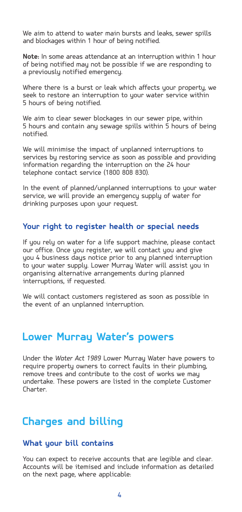We aim to attend to water main bursts and leaks, sewer spills and blockages within 1 hour of being notified.

**Note:** In some areas attendance at an interruption within 1 hour of being notified may not be possible if we are responding to a previously notified emergency.

Where there is a burst or leak which affects your property, we seek to restore an interruption to your water service within 5 hours of being notified.

We aim to clear sewer blockages in our sewer pipe, within 5 hours and contain any sewage spills within 5 hours of being notified.

We will minimise the impact of unplanned interruptions to services by restoring service as soon as possible and providing information regarding the interruption on the 24 hour telephone contact service (1800 808 830).

In the event of planned/unplanned interruptions to your water service, we will provide an emergency supply of water for drinking purposes upon your request.

#### **Your right to register health or special needs**

If you rely on water for a life support machine, please contact our office. Once you register, we will contact you and give you 4 business days notice prior to any planned interruption to your water supply. Lower Murray Water will assist you in organising alternative arrangements during planned interruptions, if requested.

We will contact customers registered as soon as possible in the event of an unplanned interruption.

### **Lower Murray Water's powers**

Under the *Water Act 1989* Lower Murray Water have powers to require property owners to correct faults in their plumbing, remove trees and contribute to the cost of works we may undertake. These powers are listed in the complete Customer Charter.

## **Charges and billing**

#### **What your bill contains**

You can expect to receive accounts that are legible and clear. Accounts will be itemised and include information as detailed on the next page, where applicable: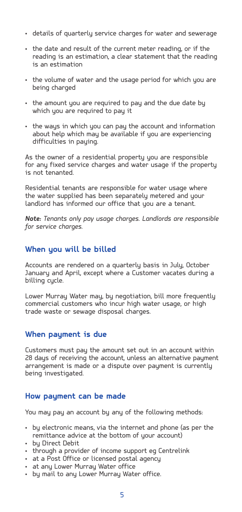- • details of quarterly service charges for water and sewerage
- • the date and result of the current meter reading, or if the reading is an estimation, a clear statement that the reading is an estimation
- the volume of water and the usage period for which you are being charged
- the amount you are required to pay and the due date by which you are required to pay it
- the ways in which you can pay the account and information about help which may be available if you are experiencing difficulties in paying.

As the owner of a residential property you are responsible for any fixed service charges and water usage if the property is not tenanted.

Residential tenants are responsible for water usage where the water supplied has been separately metered and your landlord has informed our office that you are a tenant.

*Note: Tenants only pay usage charges. Landlords are responsible for service charges.*

#### **When you will be billed**

Accounts are rendered on a quarterly basis in July, October January and April, except where a Customer vacates during a billing cycle.

Lower Murray Water may, by negotiation, bill more frequently commercial customers who incur high water usage, or high trade waste or sewage disposal charges.

#### **When payment is due**

Customers must pay the amount set out in an account within 28 days of receiving the account, unless an alternative payment arrangement is made or a dispute over payment is currently being investigated.

#### **How payment can be made**

You may pay an account by any of the following methods:

- by electronic means, via the internet and phone (as per the remittance advice at the bottom of your account)
- • by Direct Debit
- through a provider of income support eg Centrelink
- at a Post Office or licensed postal agency
- • at any Lower Murray Water office
- by mail to any Lower Murray Water office.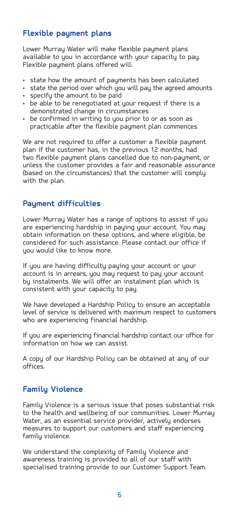#### **Flexible payment plans**

Lower Murray Water will make flexible payment plans available to you in accordance with your capacity to pay. Flexible payment plans offered will:

- • state how the amount of payments has been calculated
- state the period over which you will pay the agreed amounts
- • specify the amount to be paid
- be able to be renegotiated at your request if there is a demonstrated change in circumstances
- be confirmed in writing to you prior to or as soon as practicable after the flexible payment plan commences.

We are not required to offer a customer a flexible payment plan if the customer has, in the previous 12 months, had two flexible payment plans cancelled due to non-payment, or unless the customer provides a fair and reasonable assurance (based on the circumstances) that the customer will comply with the plan.

#### **Payment difficulties**

Lower Murray Water has a range of options to assist if you are experiencing hardship in paying your account. You may obtain information on these options, and where eligible, be considered for such assistance. Please contact our office if uou would like to know more.

If you are having difficulty paying your account or your account is in arrears, you may request to pay your account by instalments. We will offer an instalment plan which is consistent with your capacity to pay.

We have developed a Hardship Policy to ensure an acceptable level of service is delivered with maximum respect to customers who are experiencing financial hardship.

If you are experiencing financial hardship contact our office for information on how we can assist.

A copy of our Hardship Policy can be obtained at any of our offices.

#### **Family Violence**

Family Violence is a serious issue that poses substantial risk to the health and wellbeing of our communities. Lower Murray Water, as an essential service provider, actively endorses measures to support our customers and staff experiencing family violence.

We understand the complexity of Family Violence and awareness training is provided to all of our staff with specialised training provide to our Customer Support Team.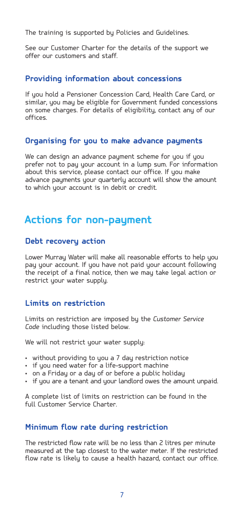The training is supported by Policies and Guidelines.

See our Customer Charter for the details of the support we offer our customers and staff.

#### **Providing information about concessions**

If you hold a Pensioner Concession Card, Health Care Card, or similar, you may be eligible for Government funded concessions on some charges. For details of eligibility, contact any of our offices.

#### **Organising for you to make advance payments**

We can design an advance payment scheme for you if you prefer not to pay your account in a lump sum. For information about this service, please contact our office. If you make advance payments your quarterly account will show the amount to which your account is in debit or credit.

### **Actions for non-payment**

#### **Debt recovery action**

Lower Murray Water will make all reasonable efforts to help you pay your account. If you have not paid your account following the receipt of a final notice, then we may take legal action or restrict your water supply.

#### **Limits on restriction**

Limits on restriction are imposed by the *Customer Service Code* including those listed below.

We will not restrict your water supply:

- without providing to you a 7 day restriction notice
- if you need water for a life-support machine
- $\cdot$  on a Fridau or a dau of or before a public holidau
- if you are a tenant and your landlord owes the amount unpaid.

A complete list of limits on restriction can be found in the full Customer Service Charter.

#### **Minimum flow rate during restriction**

The restricted flow rate will be no less than 2 litres per minute measured at the tap closest to the water meter. If the restricted flow rate is likely to cause a health hazard, contact our office.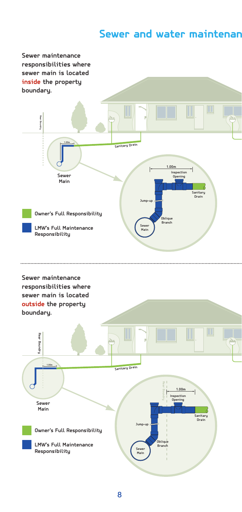## **Sewer and water maintenance**

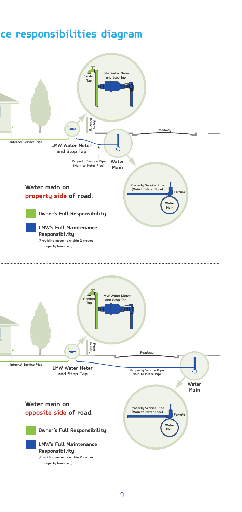## **Sewer and water maintenance responsibilities diagram**

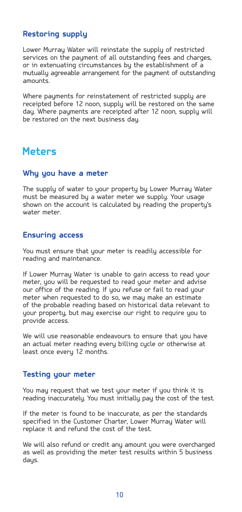#### **Restoring supply**

Lower Murray Water will reinstate the supply of restricted services on the payment of all outstanding fees and charges. or in extenuating circumstances by the establishment of a mutually agreeable arrangement for the payment of outstanding amounts.

Where payments for reinstatement of restricted supply are receipted before 12 noon, supply will be restored on the same day. Where payments are receipted after 12 noon, supply will be restored on the next business day.

## **Meters**

#### **Why you have a meter**

The supply of water to your property by Lower Murray Water must be measured by a water meter we supply. Your usage shown on the account is calculated by reading the property's water meter.

#### **Ensuring access**

You must ensure that your meter is readily accessible for reading and maintenance.

If Lower Murray Water is unable to gain access to read your meter, you will be requested to read your meter and advise our office of the reading. If you refuse or fail to read your meter when requested to do so, we may make an estimate of the probable reading based on historical data relevant to your property, but may exercise our right to require you to provide access.

We will use reasonable endeavours to ensure that you have an actual meter reading every billing cycle or otherwise at least once every 12 months.

#### **Testing your meter**

You may request that we test your meter if you think it is reading inaccurately. You must initially pay the cost of the test.

If the meter is found to be inaccurate, as per the standards specified in the Customer Charter, Lower Murray Water will replace it and refund the cost of the test.

We will also refund or credit any amount you were overcharged as well as providing the meter test results within 5 business days.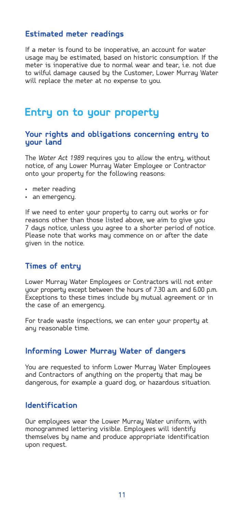#### **Estimated meter readings**

If a meter is found to be inoperative, an account for water usage may be estimated, based on historic consumption. If the meter is inoperative due to normal wear and tear, i.e. not due to wilful damage caused by the Customer, Lower Murray Water will replace the meter at no expense to you.

### **Entry on to your property**

#### **Your rights and obligations concerning entry to your land**

The *Water Act 1989* requires you to allow the entry, without notice, of any Lower Murray Water Employee or Contractor onto your property for the following reasons:

- • meter reading
- • an emergency.

If we need to enter your property to carry out works or for reasons other than those listed above, we aim to give you 7 days notice, unless you agree to a shorter period of notice. Please note that works may commence on or after the date given in the notice.

#### **Times of entry**

Lower Murray Water Employees or Contractors will not enter your property except between the hours of 7.30 a.m. and 6.00 p.m. Exceptions to these times include by mutual agreement or in the case of an emergency.

For trade waste inspections, we can enter your property at any reasonable time.

#### **Informing Lower Murray Water of dangers**

You are requested to inform Lower Murray Water Employees and Contractors of anything on the property that may be dangerous, for example a guard dog, or hazardous situation.

#### **Identification**

Our employees wear the Lower Murray Water uniform, with monogrammed lettering visible. Employees will identify themselves by name and produce appropriate identification upon request.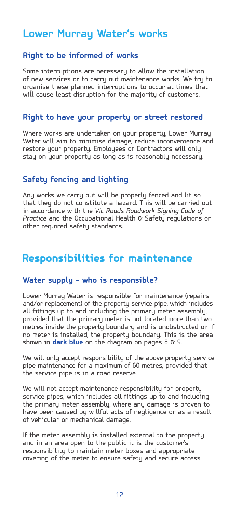## **Lower Murray Water's works**

#### **Right to be informed of works**

Some interruptions are necessary to allow the installation of new services or to carry out maintenance works. We try to organise these planned interruptions to occur at times that will cause least disruption for the majority of customers.

#### **Right to have your property or street restored**

Where works are undertaken on your property, Lower Murray Water will aim to minimise damage, reduce inconvenience and restore your property. Employees or Contractors will only stay on your property as long as is reasonably necessary.

#### **Safety fencing and lighting**

Any works we carry out will be properly fenced and lit so that they do not constitute a hazard. This will be carried out in accordance with the *Vic Roads Roadwork Signing Code of Practice* and the Occupational Health & Safety regulations or other required safetu standards.

## **Responsibilities for maintenance**

#### **Water supply - who is responsible?**

Lower Murray Water is responsible for maintenance (repairs and/or replacement) of the property service pipe, which includes all fittings up to and including the primary meter assembly, provided that the primary meter is not located more than two metres inside the property boundary and is unobstructed or if no meter is installed, the property boundary. This is the area shown in **dark blue** on the diagram on pages 8 G 9.

We will only accept responsibility of the above property service pipe maintenance for a maximum of 60 metres, provided that the service pipe is in a road reserve.

We will not accept maintenance responsibility for property service pipes, which includes all fittings up to and including the primary meter assembly, where any damage is proven to have been caused by willful acts of negligence or as a result of vehicular or mechanical damage.

If the meter assembly is installed external to the property and in an area open to the public it is the customer's responsibility to maintain meter boxes and appropriate covering of the meter to ensure safety and secure access.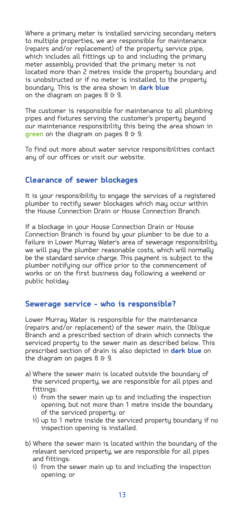Where a primary meter is installed servicing secondary meters to multiple properties, we are responsible for maintenance (repairs and/or replacement) of the property service pipe, which includes all fittings up to and including the primary meter assembly provided that the primary meter is not located more than 2 metres inside the property boundary and is unobstructed or if no meter is installed, to the property boundary. This is the area shown in **dark blue** on the diagram on pages  $8 \text{ G}$  9.

The customer is responsible for maintenance to all plumbing pipes and fixtures serving the customer's property beyond our maintenance responsibility this being the area shown in green on the diagram on pages 8 & 9.

To find out more about water service responsibilities contact any of our offices or visit our website.

#### **Clearance of sewer blockages**

It is your responsibility to engage the services of a registered plumber to rectify sewer blockages which may occur within the House Connection Drain or House Connection Branch.

If a blockage in your House Connection Drain or House Connection Branch is found by your plumber to be due to a failure in Lower Murray Water's area of sewerage responsibility, we will pay the plumber reasonable costs, which will normally be the standard service charge. This payment is subject to the plumber notifying our office prior to the commencement of works or on the first business day following a weekend or public holiday.

#### **Sewerage service - who is responsible?**

Lower Murray Water is responsible for the maintenance (repairs and/or replacement) of the sewer main, the Oblique Branch and a prescribed section of drain which connects the serviced property to the sewer main as described below. This prescribed section of drain is also depicted in **dark blue** on the diagram on pages 8 G 9.

- a) Where the sewer main is located outside the boundary of the serviced property, we are responsible for all pipes and fittings:
	- i) from the sewer main up to and including the inspection opening, but not more than 1 metre inside the boundary of the serviced property; or
	- ii) up to 1 metre inside the serviced property boundary if no inspection opening is installed.
- b) Where the sewer main is located within the boundary of the relevant serviced property, we are responsible for all pipes and fittings:
	- i) from the sewer main up to and including the inspection opening; or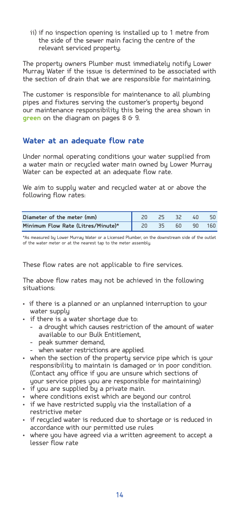ii) if no inspection opening is installed up to 1 metre from the side of the sewer main facing the centre of the relevant serviced property.

The property owners Plumber must immediately notify Lower Murray Water if the issue is determined to be associated with the section of drain that we are responsible for maintaining.

The customer is responsible for maintenance to all plumbing pipes and fixtures serving the customer's property beyond our maintenance responsibility this being the area shown in **green** on the diagram on pages 8 & 9.

#### **Water at an adequate flow rate**

Under normal operating conditions your water supplied from a water main or recycled water main owned by Lower Murray Water can be expected at an adequate flow rate.

We aim to supply water and recycled water at or above the following flow rates:

| Diameter of the meter (mm)         |  | 32 | 40 | 50  |
|------------------------------------|--|----|----|-----|
| Minimum Flow Rate (Litres/Minute)* |  | 60 | 90 | 160 |

\*As measured by Lower Murray Water or a Licensed Plumber, on the downstream side of the outlet of the water meter or at the nearest tap to the meter assembly.

These flow rates are not applicable to fire services.

The above flow rates may not be achieved in the following situations:

- if there is a planned or an unplanned interruption to your water supply
- if there is a water shortage due to:
	- a drought which causes restriction of the amount of water available to our Bulk Entitlement,
	- peak summer demand,
	- when water restrictions are applied.
- when the section of the property service pipe which is your responsibility to maintain is damaged or in poor condition. (Contact any office if you are unsure which sections of your service pipes you are responsible for maintaining)
- • if you are supplied by a private main.
- where conditions exist which are beyond our control
- if we have restricted supply via the installation of a restrictive meter
- if recycled water is reduced due to shortage or is reduced in accordance with our permitted use rules
- where you have agreed via a written agreement to accept a lesser flow rate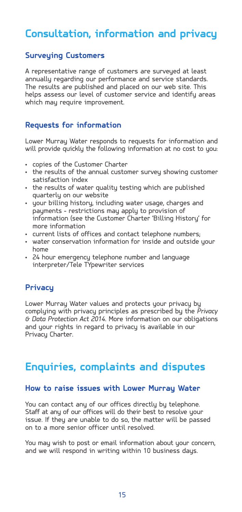## **Consultation, information and privacy**

#### **Surveying Customers**

A representative range of customers are surveyed at least annually regarding our performance and service standards. The results are published and placed on our web site. This helps assess our level of customer service and identify areas which may require improvement.

#### **Requests for information**

Lower Murray Water responds to requests for information and will provide quickly the following information at no cost to you:

- • copies of the Customer Charter
- the results of the annual customer surveu showing customer satisfaction index
- • the results of water quality testing which are published quarterly on our website
- your billing history, including water usage, charges and payments - restrictions may apply to provision of information (see the Customer Charter 'Billing History' for more information
- • current lists of offices and contact telephone numbers;
- • water conservation information for inside and outside your home
- • 24 hour emergency telephone number and language interpreter/Tele TYpewriter services

#### **Privacy**

Lower Murray Water values and protects your privacy by complying with privacy principles as prescribed by the *Privacy & Data Protection Act 2014*. More information on our obligations and your rights in regard to privacy is available in our Privacu Charter.

## **Enquiries, complaints and disputes**

#### **How to raise issues with Lower Murray Water**

You can contact any of our offices directly by telephone. Staff at any of our offices will do their best to resolve your issue. If they are unable to do so, the matter will be passed on to a more senior officer until resolved.

You may wish to post or email information about your concern, and we will respond in writing within 10 business days.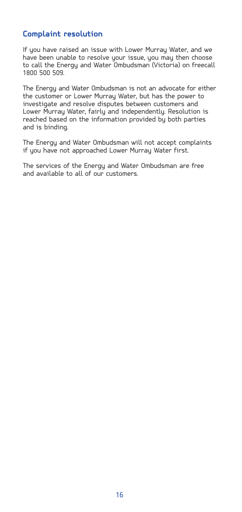#### **Complaint resolution**

If you have raised an issue with Lower Murray Water, and we have been unable to resolve your issue, you may then choose to call the Energy and Water Ombudsman (Victoria) on freecall 1800 500 509.

The Energy and Water Ombudsman is not an advocate for either the customer or Lower Murray Water, but has the power to investigate and resolve disputes between customers and Lower Murray Water, fairly and independently. Resolution is reached based on the information provided by both parties and is binding.

The Energy and Water Ombudsman will not accept complaints if you have not approached Lower Murray Water first.

The services of the Energy and Water Ombudsman are free and available to all of our customers.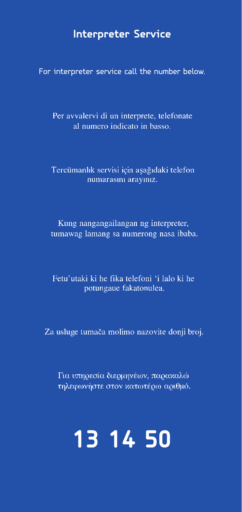## **Interpreter Service**

For interpreter service call the number below.

Per avvalervi di un interprete, telefonate al numero indicato in basso.

Tercümanlık servisi için aşağıdaki telefon numarasını arayınız.

Kung nangangailangan ng interpreter, tumawag lamang sa numerong nasa ibaba.

Fetu'utaki ki he fika telefoni 'i lalo ki he potungaue fakatonulea.

Za usluge tumača molimo nazovite donji broj.

Για υπηρεσία διερμηνέων, παρακαλώ τηλεφωνήστε στον κατωτέρω αριθμό.

# **13 14 50**